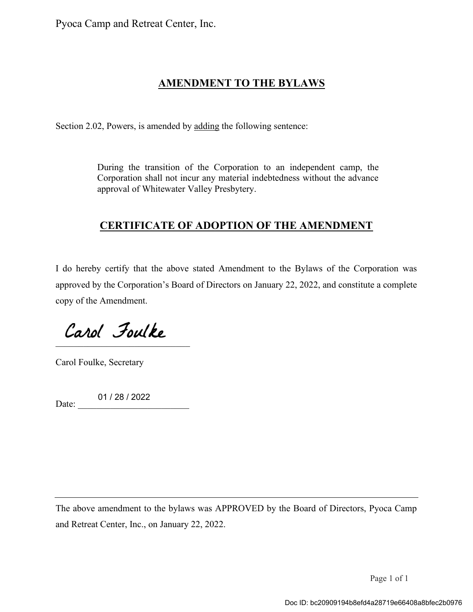Pyoca Camp and Retreat Center, Inc.

## **AMENDMENT TO THE BYLAWS**

Section 2.02, Powers, is amended by adding the following sentence:

During the transition of the Corporation to an independent camp, the Corporation shall not incur any material indebtedness without the advance approval of Whitewater Valley Presbytery.

## **CERTIFICATE OF ADOPTION OF THE AMENDMENT**

I do hereby certify that the above stated Amendment to the Bylaws of the Corporation was approved by the Corporation's Board of Directors on January 22, 2022, and constitute a complete copy of the Amendment.

 $\mathcal{L}=\mathcal{L}=\mathcal{L}=\mathcal{L}=\mathcal{L}=\mathcal{L}=\mathcal{L}=\mathcal{L}=\mathcal{L}=\mathcal{L}=\mathcal{L}=\mathcal{L}=\mathcal{L}=\mathcal{L}=\mathcal{L}=\mathcal{L}=\mathcal{L}=\mathcal{L}=\mathcal{L}=\mathcal{L}=\mathcal{L}=\mathcal{L}=\mathcal{L}=\mathcal{L}=\mathcal{L}=\mathcal{L}=\mathcal{L}=\mathcal{L}=\mathcal{L}=\mathcal{L}=\mathcal{L}=\mathcal{L}=\mathcal{L}=\mathcal{L}=\mathcal{L}=\mathcal{L}=\mathcal{$ 

Carol Foulke, Secretary

Date: 01 / 28 / 2022

The above amendment to the bylaws was APPROVED by the Board of Directors, Pyoca Camp and Retreat Center, Inc., on January 22, 2022.

Page 1 of 1